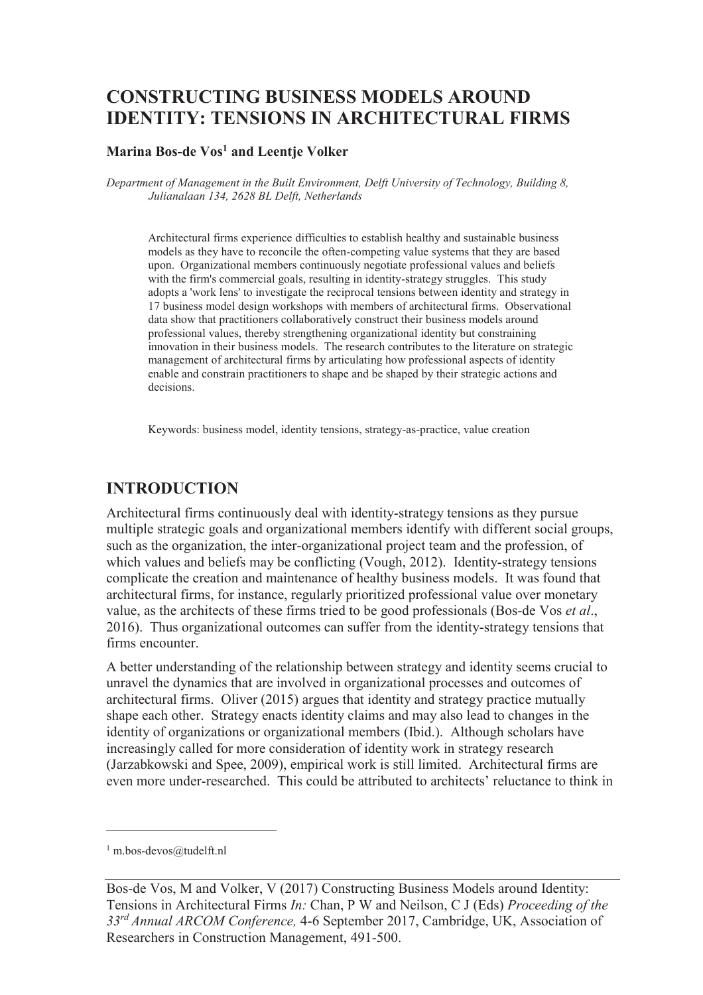# **CONSTRUCTING BUSINESS MODELS AROUND IDENTITY: TENSIONS IN ARCHITECTURAL FIRMS**

#### **Marina Bos-de Vos<sup>1</sup> and Leentje Volker**

*Department of Management in the Built Environment, Delft University of Technology, Building 8, Julianalaan 134, 2628 BL Delft, Netherlands* 

Architectural firms experience difficulties to establish healthy and sustainable business models as they have to reconcile the often-competing value systems that they are based upon. Organizational members continuously negotiate professional values and beliefs with the firm's commercial goals, resulting in identity-strategy struggles. This study adopts a 'work lens' to investigate the reciprocal tensions between identity and strategy in 17 business model design workshops with members of architectural firms. Observational data show that practitioners collaboratively construct their business models around professional values, thereby strengthening organizational identity but constraining innovation in their business models. The research contributes to the literature on strategic management of architectural firms by articulating how professional aspects of identity enable and constrain practitioners to shape and be shaped by their strategic actions and decisions.

Keywords: business model, identity tensions, strategy-as-practice, value creation

#### **INTRODUCTION**

Architectural firms continuously deal with identity-strategy tensions as they pursue multiple strategic goals and organizational members identify with different social groups, such as the organization, the inter-organizational project team and the profession, of which values and beliefs may be conflicting (Vough, 2012). Identity-strategy tensions complicate the creation and maintenance of healthy business models. It was found that architectural firms, for instance, regularly prioritized professional value over monetary value, as the architects of these firms tried to be good professionals (Bos-de Vos *et al*., 2016). Thus organizational outcomes can suffer from the identity-strategy tensions that firms encounter.

A better understanding of the relationship between strategy and identity seems crucial to unravel the dynamics that are involved in organizational processes and outcomes of architectural firms. Oliver (2015) argues that identity and strategy practice mutually shape each other. Strategy enacts identity claims and may also lead to changes in the identity of organizations or organizational members (Ibid.). Although scholars have increasingly called for more consideration of identity work in strategy research (Jarzabkowski and Spee, 2009), empirical work is still limited. Architectural firms are even more under-researched. This could be attributed to architects' reluctance to think in

-

<sup>1</sup> m.bos-devos@tudelft.nl

Bos-de Vos, M and Volker, V (2017) Constructing Business Models around Identity: Tensions in Architectural Firms *In:* Chan, P W and Neilson, C J (Eds) *Proceeding of the 33rd Annual ARCOM Conference,* 4-6 September 2017, Cambridge, UK, Association of Researchers in Construction Management, 491-500.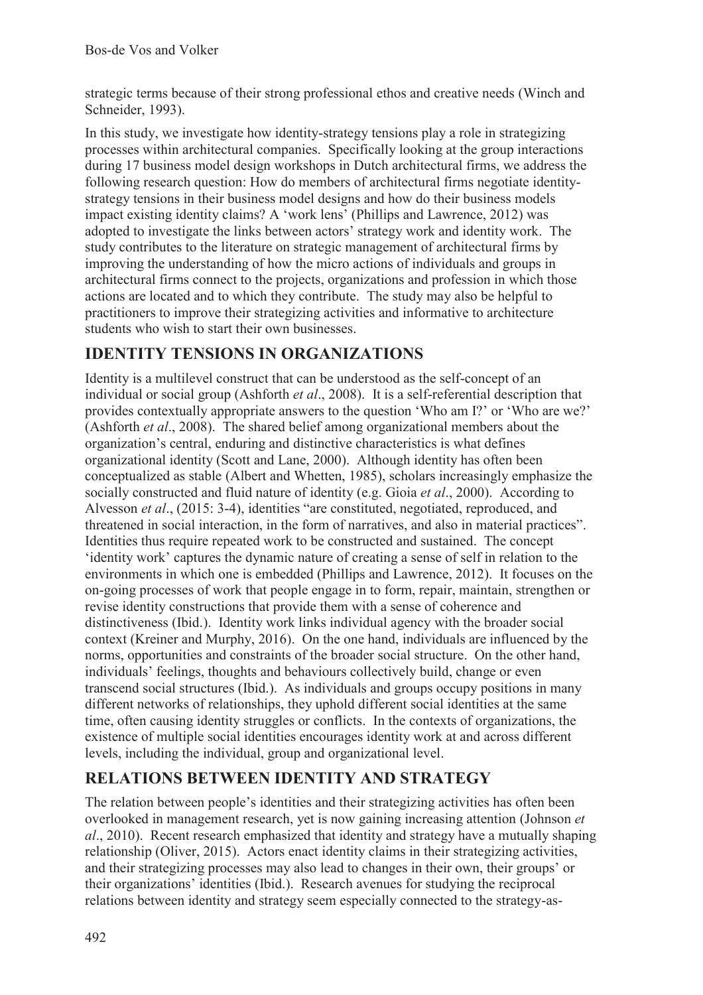strategic terms because of their strong professional ethos and creative needs (Winch and Schneider, 1993).

In this study, we investigate how identity-strategy tensions play a role in strategizing processes within architectural companies. Specifically looking at the group interactions during 17 business model design workshops in Dutch architectural firms, we address the following research question: How do members of architectural firms negotiate identitystrategy tensions in their business model designs and how do their business models impact existing identity claims? A 'work lens' (Phillips and Lawrence, 2012) was adopted to investigate the links between actors' strategy work and identity work. The study contributes to the literature on strategic management of architectural firms by improving the understanding of how the micro actions of individuals and groups in architectural firms connect to the projects, organizations and profession in which those actions are located and to which they contribute. The study may also be helpful to practitioners to improve their strategizing activities and informative to architecture students who wish to start their own businesses.

## **IDENTITY TENSIONS IN ORGANIZATIONS**

Identity is a multilevel construct that can be understood as the self-concept of an individual or social group (Ashforth *et al*., 2008). It is a self-referential description that provides contextually appropriate answers to the question 'Who am I?' or 'Who are we?' (Ashforth *et al*., 2008). The shared belief among organizational members about the organization's central, enduring and distinctive characteristics is what defines organizational identity (Scott and Lane, 2000). Although identity has often been conceptualized as stable (Albert and Whetten, 1985), scholars increasingly emphasize the socially constructed and fluid nature of identity (e.g. Gioia *et al*., 2000). According to Alvesson *et al*., (2015: 3-4), identities "are constituted, negotiated, reproduced, and threatened in social interaction, in the form of narratives, and also in material practices". Identities thus require repeated work to be constructed and sustained. The concept 'identity work' captures the dynamic nature of creating a sense of self in relation to the environments in which one is embedded (Phillips and Lawrence, 2012). It focuses on the on-going processes of work that people engage in to form, repair, maintain, strengthen or revise identity constructions that provide them with a sense of coherence and distinctiveness (Ibid.). Identity work links individual agency with the broader social context (Kreiner and Murphy, 2016). On the one hand, individuals are influenced by the norms, opportunities and constraints of the broader social structure. On the other hand, individuals' feelings, thoughts and behaviours collectively build, change or even transcend social structures (Ibid.). As individuals and groups occupy positions in many different networks of relationships, they uphold different social identities at the same time, often causing identity struggles or conflicts. In the contexts of organizations, the existence of multiple social identities encourages identity work at and across different levels, including the individual, group and organizational level.

# **RELATIONS BETWEEN IDENTITY AND STRATEGY**

The relation between people's identities and their strategizing activities has often been overlooked in management research, yet is now gaining increasing attention (Johnson *et al*., 2010). Recent research emphasized that identity and strategy have a mutually shaping relationship (Oliver, 2015). Actors enact identity claims in their strategizing activities, and their strategizing processes may also lead to changes in their own, their groups' or their organizations' identities (Ibid.). Research avenues for studying the reciprocal relations between identity and strategy seem especially connected to the strategy-as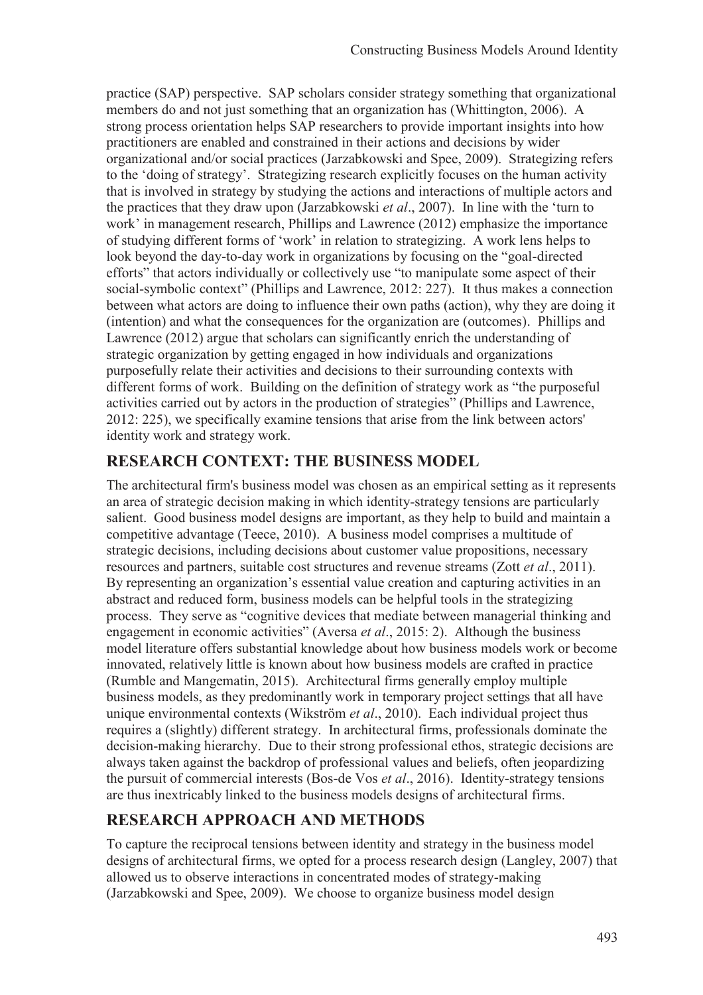practice (SAP) perspective. SAP scholars consider strategy something that organizational members do and not just something that an organization has (Whittington, 2006). A strong process orientation helps SAP researchers to provide important insights into how practitioners are enabled and constrained in their actions and decisions by wider organizational and/or social practices (Jarzabkowski and Spee, 2009). Strategizing refers to the 'doing of strategy'. Strategizing research explicitly focuses on the human activity that is involved in strategy by studying the actions and interactions of multiple actors and the practices that they draw upon (Jarzabkowski *et al*., 2007). In line with the 'turn to work' in management research, Phillips and Lawrence (2012) emphasize the importance of studying different forms of 'work' in relation to strategizing. A work lens helps to look beyond the day-to-day work in organizations by focusing on the "goal-directed efforts" that actors individually or collectively use "to manipulate some aspect of their social-symbolic context" (Phillips and Lawrence, 2012: 227). It thus makes a connection between what actors are doing to influence their own paths (action), why they are doing it (intention) and what the consequences for the organization are (outcomes). Phillips and Lawrence (2012) argue that scholars can significantly enrich the understanding of strategic organization by getting engaged in how individuals and organizations purposefully relate their activities and decisions to their surrounding contexts with different forms of work. Building on the definition of strategy work as "the purposeful activities carried out by actors in the production of strategies" (Phillips and Lawrence, 2012: 225), we specifically examine tensions that arise from the link between actors' identity work and strategy work.

### **RESEARCH CONTEXT: THE BUSINESS MODEL**

The architectural firm's business model was chosen as an empirical setting as it represents an area of strategic decision making in which identity-strategy tensions are particularly salient. Good business model designs are important, as they help to build and maintain a competitive advantage (Teece, 2010). A business model comprises a multitude of strategic decisions, including decisions about customer value propositions, necessary resources and partners, suitable cost structures and revenue streams (Zott *et al*., 2011). By representing an organization's essential value creation and capturing activities in an abstract and reduced form, business models can be helpful tools in the strategizing process. They serve as "cognitive devices that mediate between managerial thinking and engagement in economic activities" (Aversa *et al*., 2015: 2). Although the business model literature offers substantial knowledge about how business models work or become innovated, relatively little is known about how business models are crafted in practice (Rumble and Mangematin, 2015). Architectural firms generally employ multiple business models, as they predominantly work in temporary project settings that all have unique environmental contexts (Wikström *et al*., 2010). Each individual project thus requires a (slightly) different strategy. In architectural firms, professionals dominate the decision-making hierarchy. Due to their strong professional ethos, strategic decisions are always taken against the backdrop of professional values and beliefs, often jeopardizing the pursuit of commercial interests (Bos-de Vos *et al*., 2016). Identity-strategy tensions are thus inextricably linked to the business models designs of architectural firms.

## **RESEARCH APPROACH AND METHODS**

To capture the reciprocal tensions between identity and strategy in the business model designs of architectural firms, we opted for a process research design (Langley, 2007) that allowed us to observe interactions in concentrated modes of strategy-making (Jarzabkowski and Spee, 2009). We choose to organize business model design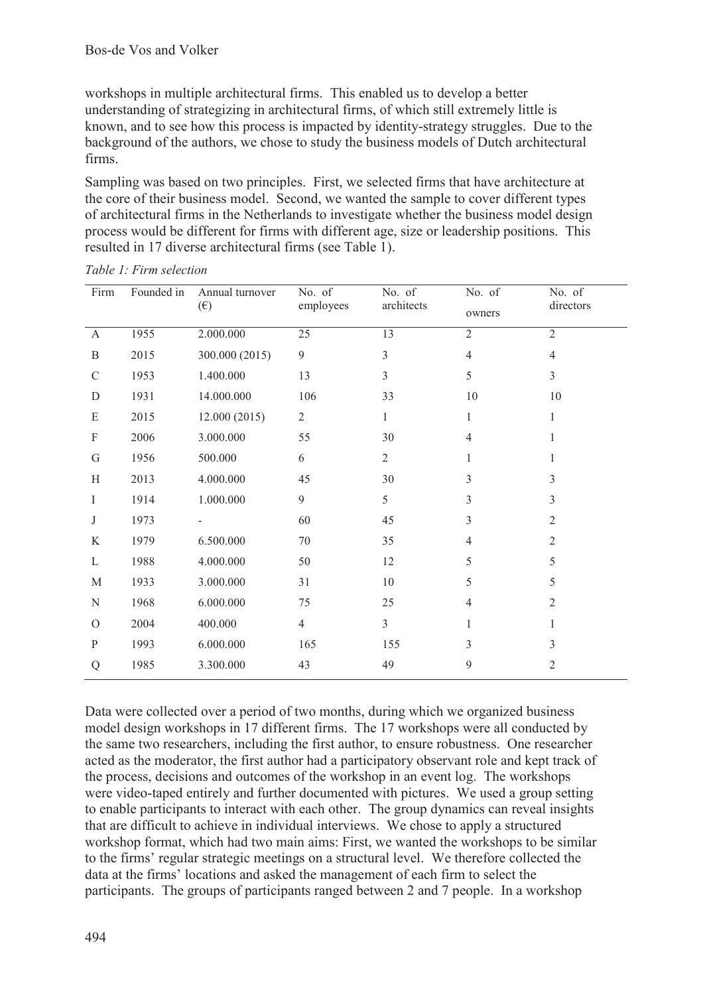workshops in multiple architectural firms. This enabled us to develop a better understanding of strategizing in architectural firms, of which still extremely little is known, and to see how this process is impacted by identity-strategy struggles. Due to the background of the authors, we chose to study the business models of Dutch architectural firms.

Sampling was based on two principles. First, we selected firms that have architecture at the core of their business model. Second, we wanted the sample to cover different types of architectural firms in the Netherlands to investigate whether the business model design process would be different for firms with different age, size or leadership positions. This resulted in 17 diverse architectural firms (see Table 1).

| Firm                      | Founded in | Annual turnover | No. of         | No. of          | No. of         | No. of         |
|---------------------------|------------|-----------------|----------------|-----------------|----------------|----------------|
|                           |            | $(\epsilon)$    | employees      | architects      | owners         | directors      |
| $\boldsymbol{A}$          | 1955       | 2.000.000       | 25             | $\overline{13}$ | $\overline{2}$ | $\overline{2}$ |
| $\, {\bf B}$              | 2015       | 300.000 (2015)  | 9              | 3               | $\overline{4}$ | $\overline{4}$ |
| $\mathbf C$               | 1953       | 1.400.000       | 13             | 3               | 5              | 3              |
| D                         | 1931       | 14.000.000      | 106            | 33              | 10             | $10\,$         |
| E                         | 2015       | 12.000(2015)    | $\overline{2}$ | $\mathbf{1}$    | $\mathbf{1}$   | 1              |
| $\boldsymbol{\mathrm{F}}$ | 2006       | 3.000.000       | 55             | 30              | 4              | 1              |
| ${\bf G}$                 | 1956       | 500.000         | 6              | $\overline{2}$  | 1              | 1              |
| H                         | 2013       | 4.000.000       | 45             | 30              | 3              | 3              |
| Ι                         | 1914       | 1.000.000       | 9              | 5               | 3              | 3              |
| J                         | 1973       |                 | 60             | 45              | 3              | $\overline{2}$ |
| $\bf K$                   | 1979       | 6.500.000       | 70             | 35              | $\overline{4}$ | $\overline{2}$ |
| L                         | 1988       | 4.000.000       | 50             | 12              | 5              | 5              |
| $\mathbf M$               | 1933       | 3.000.000       | 31             | $10\,$          | 5              | 5              |
| ${\bf N}$                 | 1968       | 6.000.000       | 75             | 25              | 4              | $\overline{2}$ |
| $\mathcal{O}$             | 2004       | 400.000         | $\overline{4}$ | $\overline{3}$  | 1              | 1              |
| ${\bf P}$                 | 1993       | 6.000.000       | 165            | 155             | 3              | 3              |
| Q                         | 1985       | 3.300.000       | 43             | 49              | 9              | 2              |

*Table 1: Firm selection* 

Data were collected over a period of two months, during which we organized business model design workshops in 17 different firms. The 17 workshops were all conducted by the same two researchers, including the first author, to ensure robustness. One researcher acted as the moderator, the first author had a participatory observant role and kept track of the process, decisions and outcomes of the workshop in an event log. The workshops were video-taped entirely and further documented with pictures. We used a group setting to enable participants to interact with each other. The group dynamics can reveal insights that are difficult to achieve in individual interviews. We chose to apply a structured workshop format, which had two main aims: First, we wanted the workshops to be similar to the firms' regular strategic meetings on a structural level. We therefore collected the data at the firms' locations and asked the management of each firm to select the participants. The groups of participants ranged between 2 and 7 people. In a workshop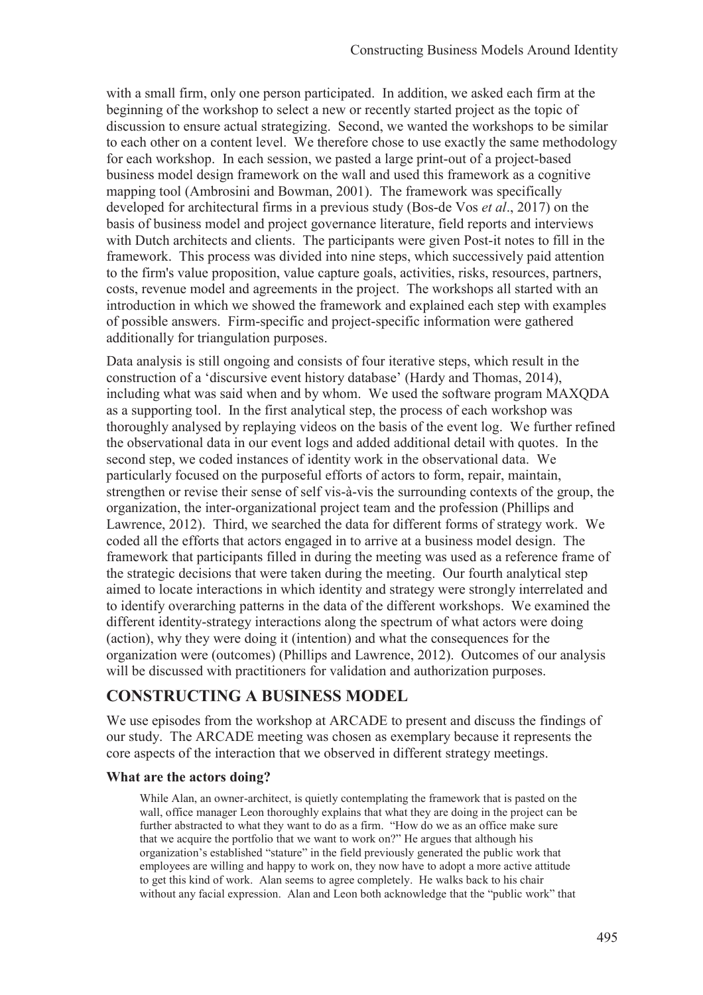with a small firm, only one person participated. In addition, we asked each firm at the beginning of the workshop to select a new or recently started project as the topic of discussion to ensure actual strategizing. Second, we wanted the workshops to be similar to each other on a content level. We therefore chose to use exactly the same methodology for each workshop. In each session, we pasted a large print-out of a project-based business model design framework on the wall and used this framework as a cognitive mapping tool (Ambrosini and Bowman, 2001). The framework was specifically developed for architectural firms in a previous study (Bos-de Vos *et al*., 2017) on the basis of business model and project governance literature, field reports and interviews with Dutch architects and clients. The participants were given Post-it notes to fill in the framework. This process was divided into nine steps, which successively paid attention to the firm's value proposition, value capture goals, activities, risks, resources, partners, costs, revenue model and agreements in the project. The workshops all started with an introduction in which we showed the framework and explained each step with examples of possible answers. Firm-specific and project-specific information were gathered additionally for triangulation purposes.

Data analysis is still ongoing and consists of four iterative steps, which result in the construction of a 'discursive event history database' (Hardy and Thomas, 2014), including what was said when and by whom. We used the software program MAXQDA as a supporting tool. In the first analytical step, the process of each workshop was thoroughly analysed by replaying videos on the basis of the event log. We further refined the observational data in our event logs and added additional detail with quotes. In the second step, we coded instances of identity work in the observational data. We particularly focused on the purposeful efforts of actors to form, repair, maintain, strengthen or revise their sense of self vis-à-vis the surrounding contexts of the group, the organization, the inter-organizational project team and the profession (Phillips and Lawrence, 2012). Third, we searched the data for different forms of strategy work. We coded all the efforts that actors engaged in to arrive at a business model design. The framework that participants filled in during the meeting was used as a reference frame of the strategic decisions that were taken during the meeting. Our fourth analytical step aimed to locate interactions in which identity and strategy were strongly interrelated and to identify overarching patterns in the data of the different workshops. We examined the different identity-strategy interactions along the spectrum of what actors were doing (action), why they were doing it (intention) and what the consequences for the organization were (outcomes) (Phillips and Lawrence, 2012). Outcomes of our analysis will be discussed with practitioners for validation and authorization purposes.

## **CONSTRUCTING A BUSINESS MODEL**

We use episodes from the workshop at ARCADE to present and discuss the findings of our study. The ARCADE meeting was chosen as exemplary because it represents the core aspects of the interaction that we observed in different strategy meetings.

#### **What are the actors doing?**

While Alan, an owner-architect, is quietly contemplating the framework that is pasted on the wall, office manager Leon thoroughly explains that what they are doing in the project can be further abstracted to what they want to do as a firm. "How do we as an office make sure that we acquire the portfolio that we want to work on?" He argues that although his organization's established "stature" in the field previously generated the public work that employees are willing and happy to work on, they now have to adopt a more active attitude to get this kind of work. Alan seems to agree completely. He walks back to his chair without any facial expression. Alan and Leon both acknowledge that the "public work" that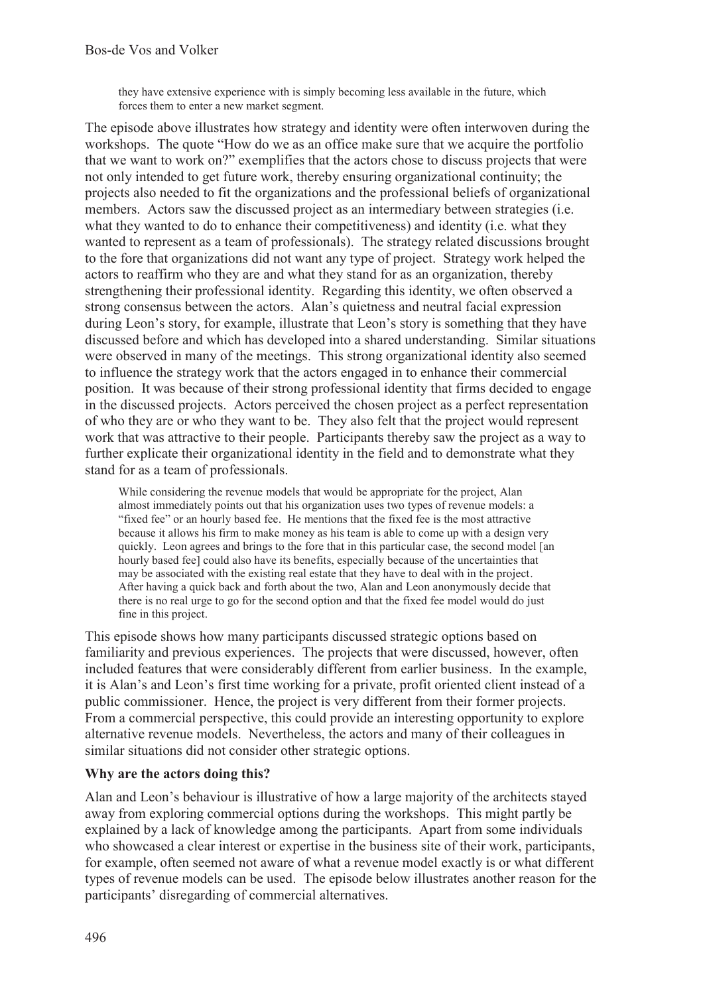they have extensive experience with is simply becoming less available in the future, which forces them to enter a new market segment.

The episode above illustrates how strategy and identity were often interwoven during the workshops. The quote "How do we as an office make sure that we acquire the portfolio that we want to work on?" exemplifies that the actors chose to discuss projects that were not only intended to get future work, thereby ensuring organizational continuity; the projects also needed to fit the organizations and the professional beliefs of organizational members. Actors saw the discussed project as an intermediary between strategies (i.e. what they wanted to do to enhance their competitiveness) and identity (i.e. what they wanted to represent as a team of professionals). The strategy related discussions brought to the fore that organizations did not want any type of project. Strategy work helped the actors to reaffirm who they are and what they stand for as an organization, thereby strengthening their professional identity. Regarding this identity, we often observed a strong consensus between the actors. Alan's quietness and neutral facial expression during Leon's story, for example, illustrate that Leon's story is something that they have discussed before and which has developed into a shared understanding. Similar situations were observed in many of the meetings. This strong organizational identity also seemed to influence the strategy work that the actors engaged in to enhance their commercial position. It was because of their strong professional identity that firms decided to engage in the discussed projects. Actors perceived the chosen project as a perfect representation of who they are or who they want to be. They also felt that the project would represent work that was attractive to their people. Participants thereby saw the project as a way to further explicate their organizational identity in the field and to demonstrate what they stand for as a team of professionals.

While considering the revenue models that would be appropriate for the project, Alan almost immediately points out that his organization uses two types of revenue models: a "fixed fee" or an hourly based fee. He mentions that the fixed fee is the most attractive because it allows his firm to make money as his team is able to come up with a design very quickly. Leon agrees and brings to the fore that in this particular case, the second model [an hourly based fee] could also have its benefits, especially because of the uncertainties that may be associated with the existing real estate that they have to deal with in the project. After having a quick back and forth about the two, Alan and Leon anonymously decide that there is no real urge to go for the second option and that the fixed fee model would do just fine in this project.

This episode shows how many participants discussed strategic options based on familiarity and previous experiences. The projects that were discussed, however, often included features that were considerably different from earlier business. In the example, it is Alan's and Leon's first time working for a private, profit oriented client instead of a public commissioner. Hence, the project is very different from their former projects. From a commercial perspective, this could provide an interesting opportunity to explore alternative revenue models. Nevertheless, the actors and many of their colleagues in similar situations did not consider other strategic options.

#### **Why are the actors doing this?**

Alan and Leon's behaviour is illustrative of how a large majority of the architects stayed away from exploring commercial options during the workshops. This might partly be explained by a lack of knowledge among the participants. Apart from some individuals who showcased a clear interest or expertise in the business site of their work, participants, for example, often seemed not aware of what a revenue model exactly is or what different types of revenue models can be used. The episode below illustrates another reason for the participants' disregarding of commercial alternatives.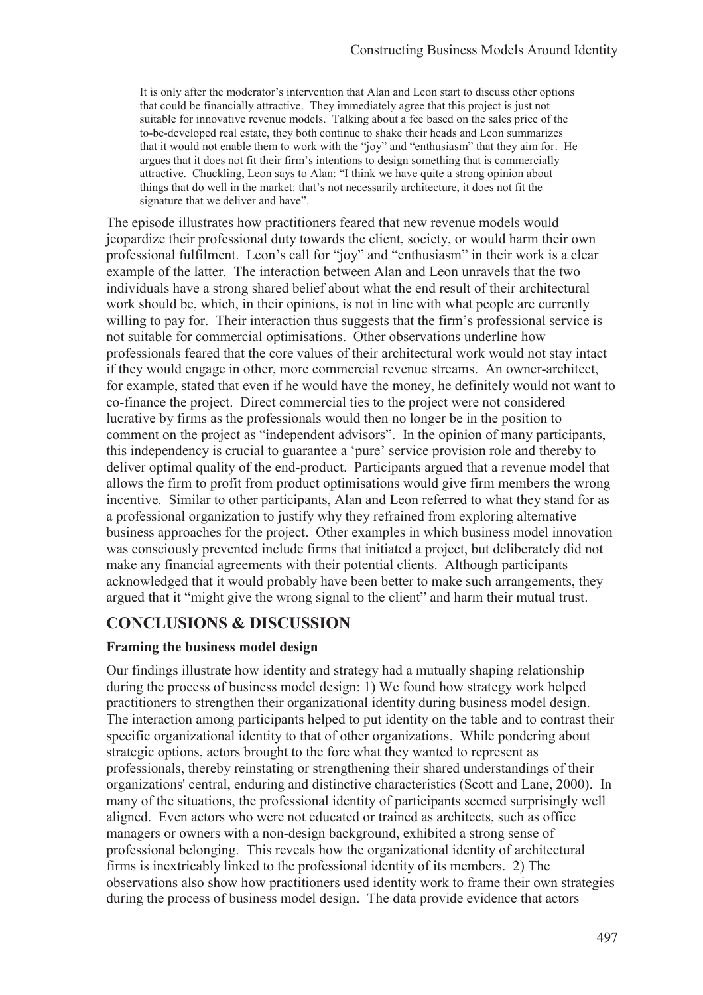It is only after the moderator's intervention that Alan and Leon start to discuss other options that could be financially attractive. They immediately agree that this project is just not suitable for innovative revenue models. Talking about a fee based on the sales price of the to-be-developed real estate, they both continue to shake their heads and Leon summarizes that it would not enable them to work with the "joy" and "enthusiasm" that they aim for. He argues that it does not fit their firm's intentions to design something that is commercially attractive. Chuckling, Leon says to Alan: "I think we have quite a strong opinion about things that do well in the market: that's not necessarily architecture, it does not fit the signature that we deliver and have".

The episode illustrates how practitioners feared that new revenue models would jeopardize their professional duty towards the client, society, or would harm their own professional fulfilment. Leon's call for "joy" and "enthusiasm" in their work is a clear example of the latter. The interaction between Alan and Leon unravels that the two individuals have a strong shared belief about what the end result of their architectural work should be, which, in their opinions, is not in line with what people are currently willing to pay for. Their interaction thus suggests that the firm's professional service is not suitable for commercial optimisations. Other observations underline how professionals feared that the core values of their architectural work would not stay intact if they would engage in other, more commercial revenue streams. An owner-architect, for example, stated that even if he would have the money, he definitely would not want to co-finance the project. Direct commercial ties to the project were not considered lucrative by firms as the professionals would then no longer be in the position to comment on the project as "independent advisors". In the opinion of many participants, this independency is crucial to guarantee a 'pure' service provision role and thereby to deliver optimal quality of the end-product. Participants argued that a revenue model that allows the firm to profit from product optimisations would give firm members the wrong incentive. Similar to other participants, Alan and Leon referred to what they stand for as a professional organization to justify why they refrained from exploring alternative business approaches for the project. Other examples in which business model innovation was consciously prevented include firms that initiated a project, but deliberately did not make any financial agreements with their potential clients. Although participants acknowledged that it would probably have been better to make such arrangements, they argued that it "might give the wrong signal to the client" and harm their mutual trust.

### **CONCLUSIONS & DISCUSSION**

#### **Framing the business model design**

Our findings illustrate how identity and strategy had a mutually shaping relationship during the process of business model design: 1) We found how strategy work helped practitioners to strengthen their organizational identity during business model design. The interaction among participants helped to put identity on the table and to contrast their specific organizational identity to that of other organizations. While pondering about strategic options, actors brought to the fore what they wanted to represent as professionals, thereby reinstating or strengthening their shared understandings of their organizations' central, enduring and distinctive characteristics (Scott and Lane, 2000). In many of the situations, the professional identity of participants seemed surprisingly well aligned. Even actors who were not educated or trained as architects, such as office managers or owners with a non-design background, exhibited a strong sense of professional belonging. This reveals how the organizational identity of architectural firms is inextricably linked to the professional identity of its members. 2) The observations also show how practitioners used identity work to frame their own strategies during the process of business model design. The data provide evidence that actors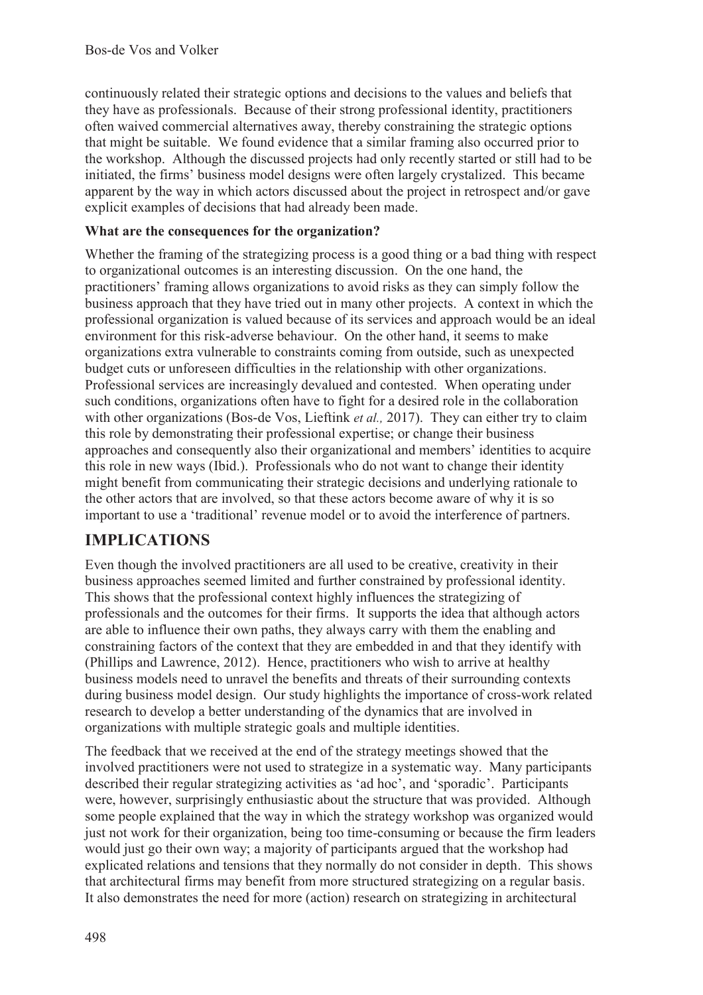continuously related their strategic options and decisions to the values and beliefs that they have as professionals. Because of their strong professional identity, practitioners often waived commercial alternatives away, thereby constraining the strategic options that might be suitable. We found evidence that a similar framing also occurred prior to the workshop. Although the discussed projects had only recently started or still had to be initiated, the firms' business model designs were often largely crystalized. This became apparent by the way in which actors discussed about the project in retrospect and/or gave explicit examples of decisions that had already been made.

#### **What are the consequences for the organization?**

Whether the framing of the strategizing process is a good thing or a bad thing with respect to organizational outcomes is an interesting discussion. On the one hand, the practitioners' framing allows organizations to avoid risks as they can simply follow the business approach that they have tried out in many other projects. A context in which the professional organization is valued because of its services and approach would be an ideal environment for this risk-adverse behaviour. On the other hand, it seems to make organizations extra vulnerable to constraints coming from outside, such as unexpected budget cuts or unforeseen difficulties in the relationship with other organizations. Professional services are increasingly devalued and contested. When operating under such conditions, organizations often have to fight for a desired role in the collaboration with other organizations (Bos-de Vos, Lieftink *et al.,* 2017). They can either try to claim this role by demonstrating their professional expertise; or change their business approaches and consequently also their organizational and members' identities to acquire this role in new ways (Ibid.). Professionals who do not want to change their identity might benefit from communicating their strategic decisions and underlying rationale to the other actors that are involved, so that these actors become aware of why it is so important to use a 'traditional' revenue model or to avoid the interference of partners.

# **IMPLICATIONS**

Even though the involved practitioners are all used to be creative, creativity in their business approaches seemed limited and further constrained by professional identity. This shows that the professional context highly influences the strategizing of professionals and the outcomes for their firms. It supports the idea that although actors are able to influence their own paths, they always carry with them the enabling and constraining factors of the context that they are embedded in and that they identify with (Phillips and Lawrence, 2012). Hence, practitioners who wish to arrive at healthy business models need to unravel the benefits and threats of their surrounding contexts during business model design. Our study highlights the importance of cross-work related research to develop a better understanding of the dynamics that are involved in organizations with multiple strategic goals and multiple identities.

The feedback that we received at the end of the strategy meetings showed that the involved practitioners were not used to strategize in a systematic way. Many participants described their regular strategizing activities as 'ad hoc', and 'sporadic'. Participants were, however, surprisingly enthusiastic about the structure that was provided. Although some people explained that the way in which the strategy workshop was organized would just not work for their organization, being too time-consuming or because the firm leaders would just go their own way; a majority of participants argued that the workshop had explicated relations and tensions that they normally do not consider in depth. This shows that architectural firms may benefit from more structured strategizing on a regular basis. It also demonstrates the need for more (action) research on strategizing in architectural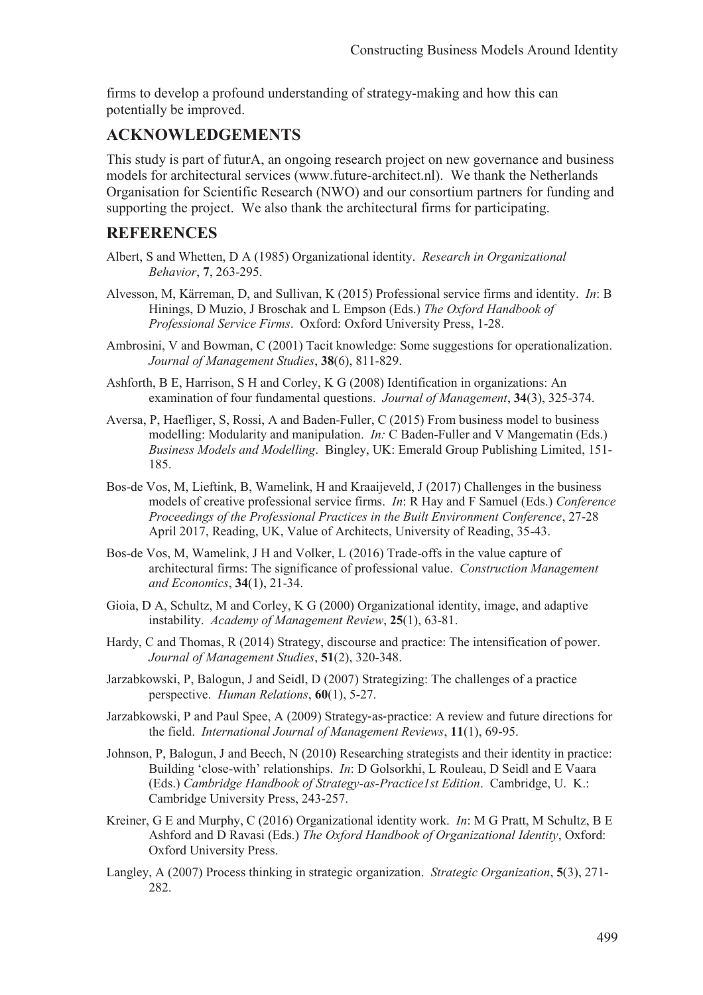firms to develop a profound understanding of strategy-making and how this can potentially be improved.

### **ACKNOWLEDGEMENTS**

This study is part of futurA, an ongoing research project on new governance and business models for architectural services (www.future-architect.nl). We thank the Netherlands Organisation for Scientific Research (NWO) and our consortium partners for funding and supporting the project. We also thank the architectural firms for participating.

### **REFERENCES**

- Albert, S and Whetten, D A (1985) Organizational identity. *Research in Organizational Behavior*, **7**, 263-295.
- Alvesson, M, Kärreman, D, and Sullivan, K (2015) Professional service firms and identity. *In*: B Hinings, D Muzio, J Broschak and L Empson (Eds.) *The Oxford Handbook of Professional Service Firms*. Oxford: Oxford University Press, 1-28.
- Ambrosini, V and Bowman, C (2001) Tacit knowledge: Some suggestions for operationalization. *Journal of Management Studies*, **38**(6), 811-829.
- Ashforth, B E, Harrison, S H and Corley, K G (2008) Identification in organizations: An examination of four fundamental questions. *Journal of Management*, **34**(3), 325-374.
- Aversa, P, Haefliger, S, Rossi, A and Baden-Fuller, C (2015) From business model to business modelling: Modularity and manipulation. *In:* C Baden-Fuller and V Mangematin (Eds.) *Business Models and Modelling*. Bingley, UK: Emerald Group Publishing Limited, 151- 185.
- Bos-de Vos, M, Lieftink, B, Wamelink, H and Kraaijeveld, J (2017) Challenges in the business models of creative professional service firms. *In*: R Hay and F Samuel (Eds.) *Conference Proceedings of the Professional Practices in the Built Environment Conference*, 27-28 April 2017, Reading, UK, Value of Architects, University of Reading, 35-43.
- Bos-de Vos, M, Wamelink, J H and Volker, L (2016) Trade-offs in the value capture of architectural firms: The significance of professional value. *Construction Management and Economics*, **34**(1), 21-34.
- Gioia, D A, Schultz, M and Corley, K G (2000) Organizational identity, image, and adaptive instability. *Academy of Management Review*, **25**(1), 63-81.
- Hardy, C and Thomas, R (2014) Strategy, discourse and practice: The intensification of power. *Journal of Management Studies*, **51**(2), 320-348.
- Jarzabkowski, P, Balogun, J and Seidl, D (2007) Strategizing: The challenges of a practice perspective. *Human Relations*, **60**(1), 5-27.
- Jarzabkowski, P and Paul Spee, A (2009) Strategy-as-practice: A review and future directions for the field. *International Journal of Management Reviews*, **11**(1), 69-95.
- Johnson, P, Balogun, J and Beech, N (2010) Researching strategists and their identity in practice: Building 'close-with' relationships. *In*: D Golsorkhi, L Rouleau, D Seidl and E Vaara (Eds.) *Cambridge Handbook of Strategy-as-Practice1st Edition*. Cambridge, U. K.: Cambridge University Press, 243-257.
- Kreiner, G E and Murphy, C (2016) Organizational identity work. *In*: M G Pratt, M Schultz, B E Ashford and D Ravasi (Eds.) *The Oxford Handbook of Organizational Identity*, Oxford: Oxford University Press.
- Langley, A (2007) Process thinking in strategic organization. *Strategic Organization*, **5**(3), 271- 282.